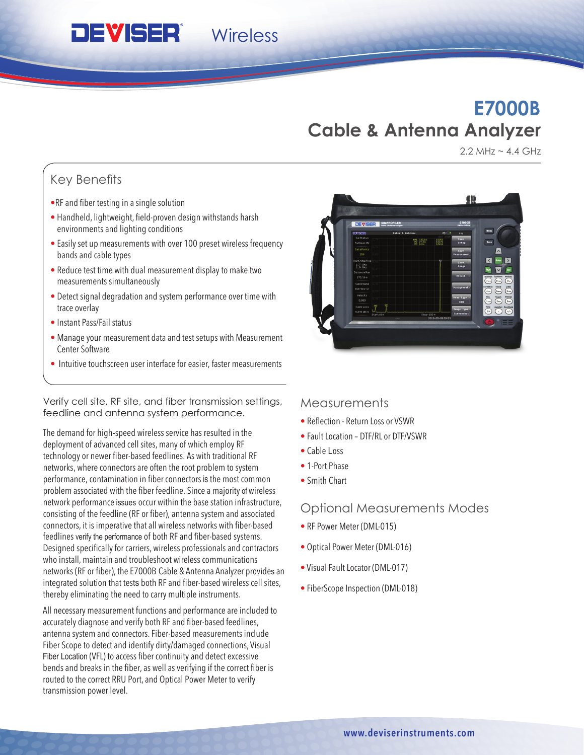## **E7000B Cable & Antenna Analyzer**

2.2 MHz  $\sim$  4.4 GHz

业

## Key Benefits

• RF and fiber testing in a single solution

**DEVISER** 

- Handheld, lightweight, field-proven design withstands harsh environments and lighting conditions
- Easily set up measurements with over 100 preset wireless frequency bands and cable types

**Wireless** 

- Reduce test time with dual measurement display to make two measurements simultaneously
- Detect signal degradation and system performance over time with trace overlay
- Instant Pass/Fail status
- Manage your measurement data and test setups with Measurement Center Software
- Intuitive touchscreen user interface for easier, faster measurements

Verify cell site, RF site, and fiber transmission settings, feedline and antenna system performance.

The demand for high-speed wireless service has resulted in the deployment of advanced cell sites, many of which employ RF technology or newer fiber-based feedlines. As with traditional RF networks, where connectors are often the root problem to system performance, contamination in fiber connectors is the most common problem associated with the fiber feedline. Since a majority of wireless network performance issues occur within the base station infrastructure, consisting of the feedline (RF or fiber), antenna system and associated connectors, it is imperative that all wireless networks with fiber-based feedlines verify the performance of both RF and fiber-based systems. Designed specifically for carriers, wireless professionals and contractors who install, maintain and troubleshoot wireless communications networks (RF or fiber), the E7000B Cable & Antenna Analyzer provides an integrated solution that tests both RF and fiber-based wireless cell sites, thereby eliminating the need to carry multiple instruments.

All necessary measurement functions and performance are included to accurately diagnose and verify both RF and fiber-based feedlines, antenna system and connectors. Fiber-based measurements include Fiber Scope to detect and identify dirty/damaged connections, Visual Fiber Location (VFL) to access fiber continuity and detect excessive bends and breaks in the fiber, as well as verifying if the correct fiber is routed to the correct RRU Port, and Optical Power Meter to verify transmission power level.

# **Measurements**

- Reflection Return Loss or VSWR
- Fault Location DTF/RL or DTF/VSWR
- Cable Loss
- 1-Port Phase
- Smith Chart

### Optional Measurements Modes

- RF Power Meter (DML-015)
- Optical Power Meter (DML-016)
- Visual Fault Locator (DML-017)
- FiberScope Inspection (DML-018)